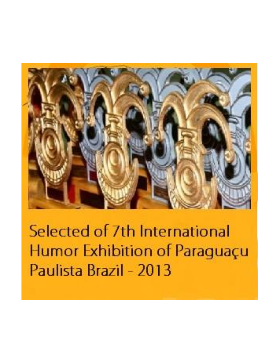

Selected of 7th International Humor Exhibition of Paraguaçu Paulista Brazil - 2013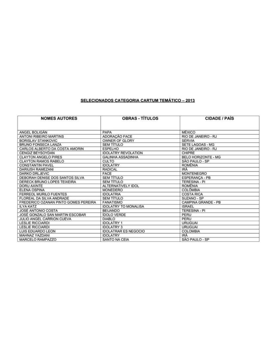## SELECIONADOS CATEGORIA CARTUM TEMÁTICO - 2013

| <b>NOMES AUTORES</b>                 | <b>OBRAS - TÍTULOS</b>      | <b>CIDADE / PAIS</b>       |
|--------------------------------------|-----------------------------|----------------------------|
| ANGEL BOLIGAN                        | PAPA                        | <b>MÉXICO</b>              |
| <b>ANTONI RIBEIRO MARTINS</b>        | ADORAÇÃO FACE               | RIO DE JANEIRO - RJ        |
| <b>BORISLAV STANKOVIC</b>            | OWNER OF GLORY              | <b>SÉRVIA</b>              |
| BRUNO FONSECA LANZA                  | <b>SEM TÍTULO</b>           | SETE LAGOAS - MG           |
| CARLOS ALBERTO DA COSTA AMORIN       | <b>ESPELHO</b>              | RIO DE JANEIRO - RJ        |
| CENGIZ BEYSOYDAN                     | <b>IDOLATRY REVOLATION</b>  | CHIPRE                     |
| <b>CLAYTON ANGELO PIRES</b>          | <b>GALINHA ASSADINHA</b>    | <b>BELO HORIZONTE - MG</b> |
| <b>CLAYTON RAMOS RABELO</b>          | <b>CULTO</b>                | SÃO PAULO - SP             |
| <b>CONSTANTIN PAVEL</b>              | <b>IDOLATRY</b>             | <b>ROMÊNIA</b>             |
| <b>DARIUSH RAMEZANI</b>              | RADICAL                     | <b>IRA</b>                 |
| DARKO DRLJEVIC                       | FACE                        | <b>MONTENEGRO</b>          |
| DEBORAH DENISE DOS SANTOS SILVA      | <b>SEM TÍTULO</b>           | ESPERANCA - PB             |
| DERECK BRUNO LOPES TEIXEIRA          | <b>SEM TÍTULO</b>           | <b>TERESINA - PI</b>       |
| <b>DORU AXINTE</b>                   | ALTERNATIVELY IDOL          | <b>ROMÊNIA</b>             |
| ELENA OSPINA                         | MONEDERO                    | <b>COLÔMBIA</b>            |
| <b>FERREOL MURILO FUENTES</b>        | <b>IDOLATRIA</b>            | <b>COSTA RICA</b>          |
| FLOREAL DA SILVA ANDRADE             | <b>SEM TÍTULO</b>           | SUZANO - SP                |
| FREDERICO OZANAN PINTO GOMES PEREIRA | <b>FANATISMO</b>            | CAMPINA GRANDE - PB        |
| <b>ILYA KATZ</b>                     | <b>IDOLATRY TO MONALISA</b> | <b>ISRAEL</b>              |
| JOSÉ ANTONIO COSTA                   | <b>BEIJANDO</b>             | <b>TERESINA - PI</b>       |
| JOSÉ GONZALO SAN MARTIN ESCOBAR      | <b>IDOLO VERDE</b>          | PERU                       |
| JULIO ANGEL CARRION CUEVA            | <b>DIABLO</b>               | PERU                       |
| <b>LESLIE RICCIARDI</b>              | <b>IDOLATRY 1</b>           | <b>URUGUAI</b>             |
| <b>LESLIE RICCIARDI</b>              | <b>IDOLATRY 3</b>           | <b>URUGUAI</b>             |
| LUIS EDUARDO LEON                    | <b>IDOLATRAR ES NEGOCIO</b> | <b>COLOMBIA</b>            |
| MAHNAZ YAZDANI                       | <b>IDOLATRY</b>             | IRÄ                        |
| MARCELO RAMPAZZO                     | SANTO NA CEIA               | SÃO PAULO - SP             |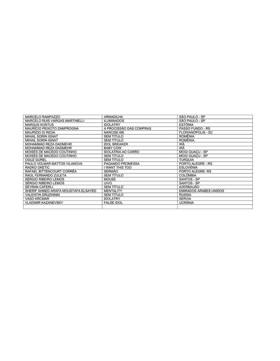| MARCELO RAMPAZZO                    | ARMADILHA                 | SÃO PAULO - SP                |
|-------------------------------------|---------------------------|-------------------------------|
| MARCELO RUIS VARGAS MARTINELLI      | <b>ILUMINADOS</b>         | SÃO PAULO - SP                |
| <b>MARGUS KONTUS</b>                | <b>IDOLATRY</b>           | <b>ESTÔNIA</b>                |
| MAURÍCIO PEIXOTO ZAMPROGNA          | A PROCISSÃO DAS COMPRAS   | PASSO FUNDO - RS              |
| MAURÍZIO DI REDA                    | NARCISE-ME                | <b>FLORIANÓPOLIS - SC</b>     |
| MIHAIL SORIN IGNAT                  | <b>SEM TÍTULO</b>         | <b>ROMÉNIA</b>                |
| MIHAIL SORIN IGNAT                  | <b>SEM TÍTULO</b>         | <b>ROMÊNIA</b>                |
| MOHAMMAD REZA DADMEHR               | <b>IDOL BREAKER</b>       | IRĀ                           |
| MOHAMMAD REZA DADMEHR               | <b>BABY COW</b>           | IRĀ                           |
| MOISÉS DE MACEDO COUTINHO           | <b>IDOLATRIA AO CARRO</b> | MOGI GUACU - SP               |
| MOISÉS DE MACEDO COUTINHO           | <b>SEM TÍTULO</b>         | <b>MOGI GUACU - SP</b>        |
| <b>OGUZ GUREL</b>                   | <b>SEM TÍTULO</b>         | <b>TURQUIA</b>                |
| PAULO VOLMAR MATTOS VILANOVA        | PAGANDO PROMESSA          | PORTO ALEGRE - RS             |
| RADKO OKETIC                        | I WANT THIS TOO           | <b>ESLOVÊNIA</b>              |
| RAFAEL BITTENCOURT CORRÊA           | <b>SERMAO</b>             | PORTO ALEGRE-RS               |
| RAÚL FERNANDO ZULETA                | <b>SEM TÍTULO</b>         | <b>COLÔMBIA</b>               |
| <b>SÉRGIO RIBEIRO LEMOS</b>         | <b>MOUSE</b>              | SANTOS - SP                   |
| SÉRGIO RIBEIRO LEMOS                | UIVO                      | SANTOS - SP                   |
| <b>SEYRAN CAFERLI</b>               | <b>SEM TÍTULO</b>         | <b>AZERBAIJÃO</b>             |
| SHERIF AHMED ARAFA MOUSTAFA ELSAYED | <b>MENTALITY</b>          | <b>EMIRADOS ARABES UNIDOS</b> |
| VALENTIN DRUZHININ                  | <b>SEM TÍTULO</b>         | <b>RUSSIA</b>                 |
| <b>VASO KRCMAR</b>                  | <b>IDOLATRY</b>           | SERVIA                        |
| <b>VLADIMIR KAZANEVSKY</b>          | <b>FALSE IDOL</b>         | <b>UCRÂNIA</b>                |
|                                     |                           |                               |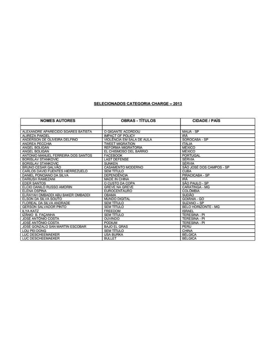## **SELECIONADOS CATEGORIA CHARGE - 2013**

| <b>NOMES AUTORES</b>               | <b>OBRAS - TITULOS</b>    | <b>CIDADE / PAIS</b>     |
|------------------------------------|---------------------------|--------------------------|
| ALEXANDRE APARECIDO SOARES BATISTA | O GIGANTE ACORDOU         | MAUA - SP                |
| ALIREZA PAKDEL                     | <b>IMPACT OF POLICY</b>   | <b>IRA</b>               |
| ANDERSON DE OLIVEIRA DELFINO       | VIOLÊNCIA EM SALA DE AULA | SOROCABA - SP            |
| <b>ANDREA PECCHIA</b>              | <b>TWEET MIGRATION</b>    | <b>ITALIA</b>            |
| ANGEL BOLIGAN                      | <b>REFORMA MIGRATORIA</b> | <b>MÉXICO</b>            |
| ANGEL BOLIGAN                      | EL CHISMOSO DEL BARRIO    | MÉXICO                   |
| ANTONIO MANUEL FERREIRA DOS SANTOS | <b>FACEBOOK</b>           | PORTUGAL                 |
| <b>BORISLAV STANKOVIC</b>          | <b>LAST DEFENSE</b>       | <b>SERVIA</b>            |
| <b>BORISLAV STANKOVIC</b>          | <b>SUNKEN</b>             | <b>SÉRVIA</b>            |
| BRUNO CESAR GALVÃO                 | CASAMENTO MODERNO         | SÃO JOSÉ DOS CAMPOS - SP |
| CARLOS DAVID FUENTES HIERREZUELO   | <b>SEM TITULO</b>         | <b>CUBA</b>              |
| DANIEL PONCIANO DA SILVA           | DEPENDÊNCIA               | PIRACICABA - SP          |
| <b>DARIUSH RAMEZANI</b>            | MADE IN CHINA             | IRĂ                      |
| <b>EDER SANTOS</b>                 | O CUSTO DA COPA           | SÃO PAULO - SP           |
| ELCIO DANILO RUSSO AMORIN          | <b>GREVE NA GREVE</b>     | CARATINGA - MG           |
| <b>ELENA OSPINA</b>                | <b>EUROCENTAURO</b>       | <b>COLOMBIA</b>          |
| ELRAYAH OMBADDI ABU BAKER OMBADDI  | <b>OBAMA</b>              | <b>SUDÃO</b>             |
| ELSON DA SILVA SOUTO               | <b>MUNDO DIGITAL</b>      | GOIANIA - GO             |
| FLOREAL DA SILVA ANDRADE           | <b>SEM TITULO</b>         | SUZANO - SP              |
| <b>GERSON SALVADOR PINTO</b>       | <b>SEM TITULO</b>         | BELO HORIZONTE - MG      |
| <b>ILYA KATZ</b>                   | FREEDOM                   | <b>ISRAEL</b>            |
| IZÁNIO B. FAÇANHA                  | <b>SEM TITULO</b>         | <b>TERESINA - PI</b>     |
| JOSÉ ANTÓNIO COSTA                 | OUVINDO                   | TERESINA - PI            |
| JOSÉ ANTÓNIO COSTA                 | <b>PODIUM</b>             | <b>TERESINA - PI</b>     |
| JOSÉ GONZALO SAN MARTIN ESCOBAR    | <b>BAJO EL GRAS</b>       | PERU                     |
| LOU PEI DONG                       | <b>SEM TÍTULO</b>         | CHINA                    |
| LUC DESCHEEMAEKER                  | <b>USA BURKA</b>          | <b>BELGICA</b>           |
| LUC DESCHEEMAEKER                  | <b>BULLET</b>             | <b>BÉLGICA</b>           |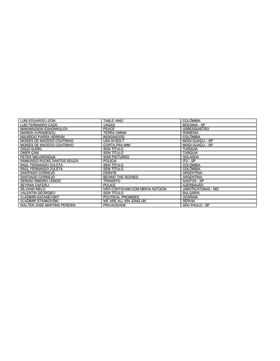| LUIS EDUARDO LEON            | <b>TABLE VINO</b>              | <b>COLOMBIA</b>        |
|------------------------------|--------------------------------|------------------------|
| LUIZ FERNANDO CAZO           | VAGAS                          | BOCAINA - SP           |
| MAKHMUDION ESHONKULOV        | PEACE                          | <b>USBESQUISTÃO</b>    |
| <b>MARIAN AVRAMESCU</b>      | <b>TERRA OMNIA</b>             | <b>ROMĒNIA</b>         |
| <b>MAURÍCIO PARRA HERRÁN</b> | <b>INDIGNADOS</b>              | <b>COLOMBIA</b>        |
| MOISES DE MACEDO COUTINHO    | USA IN BOLT                    | MOGI GUACU - SP        |
| MOISES DE MACEDO COUTINHO    | <b>CORTA PRA MIM</b>           | <b>MOGI GUACU - SP</b> |
| <b>OGUZ GUREL</b>            | <b>SEM TITULO</b>              | <b>TURQUIA</b>         |
| OMER CAM                     | <b>SEM TITULO</b>              | <b>TURQUIA</b>         |
| PETER NIEUWENDIJK            | <b>WAR PICTURES</b>            | <b>HOLANDA</b>         |
| RAIMUNDO RUCKE SANTOS SOUZA  | <b>POLICIA</b>                 | ITU - SP               |
| RAÚL FERNANDO ZULETA         | <b>SEM TÍTULO</b>              | <b>COLÔMBIA</b>        |
| RAÚL FERNANDO ZULETA         | <b>SEM TITULO</b>              | <b>COLOMBIA</b>        |
| SANTIAGO CORNEJO             | DEBATE                         | ARGENTINA              |
| SANTIAGO CORNEJO             | BEHIND THE SCENES              | ARGENTINA              |
| SÉRGIO RIBEIRO LEMOS         | <b>TRANSITO</b>                | SANTOS - SP            |
| <b>SEYRAN CAFERLI</b>        | POLICE                         | AZERBAIJÃO             |
| SILVANO MELO                 | NÃO CONTAVAM COM MINHA ASTÚCIA | JABOTICATUBAS - MG     |
| <b>VALENTIN GEORGIEV</b>     | <b>SEM TITULO</b>              | <b>BULGARIA</b>        |
| <b>VLADIMIR KAZANEVSKY</b>   | POLITICAL PROMISES             | <b>UCRÂNIA</b>         |
| <b>VLADIMIR STANKOVSKI</b>   | WE ARE ALL KIN JONG UN         | SÉRVIA                 |
| WALTER JOSÉ MARTINS PEREIRA  | <b>PRIVACIDADE</b>             | SÃO PAULO - SP         |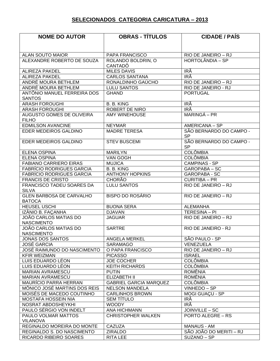## **SELECIONADOS CATEGORIA CARICATURA – 2013**

| <b>NOME DO AUTOR</b>                          | <b>OBRAS - TÍTULOS</b>        | <b>CIDADE / PAÍS</b>                 |
|-----------------------------------------------|-------------------------------|--------------------------------------|
|                                               |                               |                                      |
|                                               |                               |                                      |
| <b>ALAN SOUTO MAIOR</b>                       | PAPA FRANCISCO                | RIO DE JANEIRO - RJ                  |
| ALEXANDRE ROBERTO DE SOUZA                    | ROLANDO BOLDRIN, O            | HORTOLÂNDIA - SP                     |
|                                               | CANTADÔ                       |                                      |
| <b>ALIREZA PAKDEL</b>                         | <b>MILES DAVIS</b>            | IRÃ                                  |
| <b>ALIREZA PAKDEL</b>                         | <b>CARLOS SANTANA</b>         | IRÃ                                  |
| ANDRÉ MOURA BETHLEM                           | RONALDINHO GAÚCHO             | RIO DE JANEIRO - RJ                  |
| ANDRÉ MOURA BETHLEM                           | <b>LULU SANTOS</b>            | RIO DE JANEIRO - RJ                  |
| ANTÔNIO MANUEL FERREIRA DOS<br><b>SANTOS</b>  | <b>GHAND</b>                  | <b>PORTUGAL</b>                      |
| <b>ARASH FOROUGHI</b>                         | B. B. KING                    | IRÃ                                  |
| <b>ARASH FOROUGHI</b>                         | ROBERT DE NIRO                | IRÃ                                  |
| AUGUSTO GOMES DE OLIVEIRA                     | <b>AMY WINEHOUSE</b>          | MARINGÁ – PR                         |
| <b>FILHO</b>                                  |                               |                                      |
| <b>EDMILSON AVANCINE</b>                      | <b>NEYMAR</b>                 | AMERICANA – SP                       |
| <b>EDER MEDEIROS GALDINO</b>                  | <b>MADRE TERESA</b>           | SÃO BERNARDO DO CAMPO -              |
|                                               |                               | <b>SP</b>                            |
| EDER MEDEIROS GALDINO                         | <b>STEV BUSCEMI</b>           | SÃO BERNARDO DO CAMPO -<br><b>SP</b> |
| ELENA OSPINA                                  | <b>MARILYN</b>                | <b>COLÔMBIA</b>                      |
| <b>ELENA OSPINA</b>                           | VAN GOGH                      | <b>COLÔMBIA</b>                      |
| <b>FABIANO CARRIERO EIRAS</b>                 | <b>MUJICA</b>                 | <b>CAMPINAS - SP</b>                 |
| <b>FABRÍCIO RODRIGUES GARCIA</b>              | B. B. KING                    | GAROPABA - SC                        |
| <b>FABRÍCIO RODRIGUES GARCIA</b>              | <b>ANTHONY HOPKINS</b>        | <b>GAROPABA - SC</b>                 |
| <b>FRANCIS DE CRISTO</b>                      | <b>CHORÃO</b>                 | <b>CURITIBA - PR</b>                 |
| FRANCISCO TADEU SOARES DA                     | <b>LULU SANTOS</b>            | RIO DE JANEIRO - RJ                  |
| <b>SILVA</b>                                  |                               |                                      |
| <b>GLEN BARBOSA DE CARVALHO</b>               | <b>BISPO DO ROSÁRIO</b>       | RIO DE JANEIRO - RJ                  |
| <b>BATOCA</b>                                 |                               |                                      |
| <b>HEUSEL USCHI</b>                           | <b>BUONA SERA</b>             | <b>ALEMANHA</b>                      |
| IZÂNIO B. FACANHA                             | <b>DJAVAN</b>                 | TERESINA - PI                        |
| JOÃO CARLOS MATIAS DO                         | <b>JAGUAR</b>                 | RIO DE JANEIRO - RJ                  |
| <b>NASCIMENTO</b>                             |                               |                                      |
| JOÃO CARLOS MATIAS DO                         | <b>SARTRE</b>                 | RIO DE JANEIRO - RJ                  |
| <b>NASCIMENTO</b>                             |                               |                                      |
| JONAS DOS SANTOS                              | ANGELA MERKEL                 | SÃO PAULO - SP                       |
| <b>JOSÉ GARCIA</b>                            | <b>SARAMAGO</b>               | VENEZUELA                            |
| <b>JOSÉ RAIMUNDO DO NASCIMENTO</b>            | O PAPA FRANCISCO              | RIO DE JANEIRO - RJ                  |
| <b>KFIR WEIZMAN</b>                           | <b>PICASSO</b>                | <b>ISRAEL</b>                        |
| LUIS EDUARDO LÉON                             | <b>JOE COCHER</b>             | <b>COLÔMBIA</b>                      |
| LUIS EDUARDO LÉON                             | <b>KEITH RICHARDS</b>         | <b>COLÔMBIA</b>                      |
| <b>MARIAN AVRAMESCU</b>                       | <b>PUTIN</b>                  | <b>ROMÊNIA</b>                       |
| <b>MARIAN AVRAMESCU</b>                       | ELIZABETH II                  | <b>ROMÊNIA</b>                       |
| MAURÍCIO PARRA HERRAN                         | <b>GABRIEL GARCIA MARQUEZ</b> | <b>COLÔMBIA</b>                      |
| MÔNICO JOSÉ MARTINS DOS REIS                  | <b>NELSON MANDELA</b>         | VINHEDO-SP                           |
| MOISÉS DE MACEDO COUTINHO                     | <b>CARLINHOS BROWN</b>        | MOGI GUACU - SP                      |
| <b>MOSTAFA HOSSEIN NIA</b>                    | <b>SEM TÍTULO</b>             | IRÃ                                  |
| NOSRAT ABDOSHEYKHI                            | <b>WOODY</b>                  | IRÃ                                  |
| PAULO SÉRGIO VON INDELT                       | ANA HICHMANN                  | JOINVILLE - SC                       |
| PAULO VOLMAR MATTOS                           | <b>CHRISTOPHER WALKEN</b>     | <b>PORTO ALEGRE - RS</b>             |
| <b>VILANOVA</b><br>REGINALDO MOREIRA DO MONTE | <b>CAZUZA</b>                 | <b>MANAUS - AM</b>                   |
| REGINALDO S. DO NASCIMENTO                    | <b>ZIRALDO</b>                | SÃO JOÃO DO MERITI - RJ              |
| RICARDO RIBEIRO SOARES                        | <b>RITA LEE</b>               | SUZANO - SP                          |
|                                               |                               |                                      |